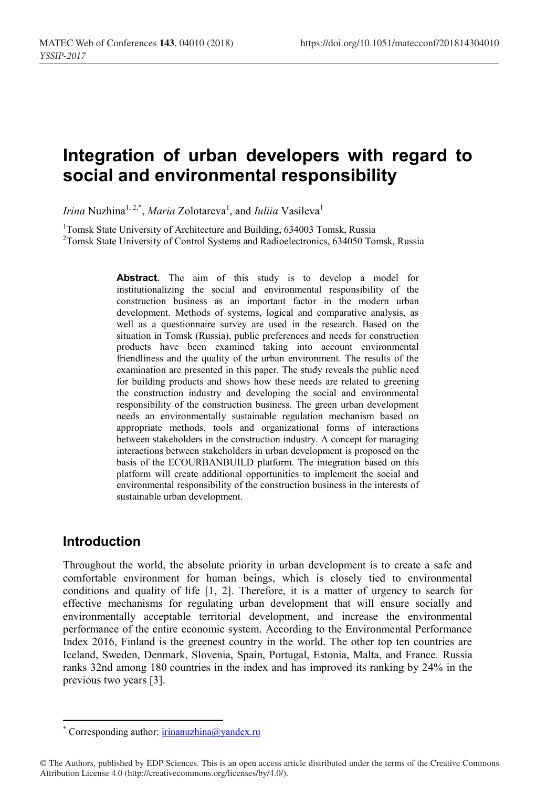# **Integration of urban developers with regard to social and environmental responsibility**

*Irina* Nuzhina<sup>1, 2,\*</sup>, *Maria* Zolotareva<sup>1</sup>, and *Iuliia* Vasileva<sup>1</sup>

<sup>1</sup>Tomsk State University of Architecture and Building, 634003 Tomsk, Russia <sup>2</sup>Tomsk State University of Control Systems and Radioelectronics, 634050 Tomsk, Russia

> Abstract. The aim of this study is to develop a model for institutionalizing the social and environmental responsibility of the construction business as an important factor in the modern urban development. Methods of systems, logical and comparative analysis, as well as a questionnaire survey are used in the research. Based on the situation in Tomsk (Russia), public preferences and needs for construction products have been examined taking into account environmental friendliness and the quality of the urban environment. The results of the examination are presented in this paper. The study reveals the public need for building products and shows how these needs are related to greening the construction industry and developing the social and environmental responsibility of the construction business. The green urban development needs an environmentally sustainable regulation mechanism based on appropriate methods, tools and organizational forms of interactions between stakeholders in the construction industry. A concept for managing interactions between stakeholders in urban development is proposed on the basis of the ECOURBANBUILD platform. The integration based on this platform will create additional opportunities to implement the social and environmental responsibility of the construction business in the interests of sustainable urban development.

## **Introduction**

 $\overline{\phantom{a}}$ 

Throughout the world, the absolute priority in urban development is to create a safe and comfortable environment for human beings, which is closely tied to environmental conditions and quality of life [1, 2]. Therefore, it is a matter of urgency to search for effective mechanisms for regulating urban development that will ensure socially and environmentally acceptable territorial development, and increase the environmental performance of the entire economic system. According to the Environmental Performance Index 2016, Finland is the greenest country in the world. The other top ten countries are Iceland, Sweden, Denmark, Slovenia, Spain, Portugal, Estonia, Malta, and France. Russia ranks 32nd among 180 countries in the index and has improved its ranking by 24% in the previous two years [3].

<sup>\*</sup> Corresponding author:  $irinanuzhina@yandex.ru$ 

<sup>©</sup> The Authors, published by EDP Sciences. This is an open access article distributed under the terms of the Creative Commons Attribution License 4.0 (http://creativecommons.org/licenses/by/4.0/).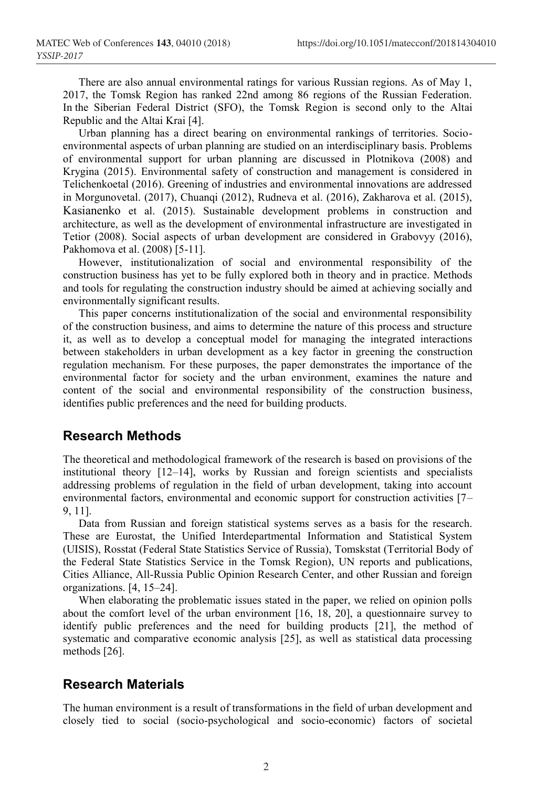There are also annual environmental ratings for various Russian regions. As of May 1, 2017, the Tomsk Region has ranked 22nd among 86 regions of the Russian Federation. In the Siberian Federal District (SFO), the Tomsk Region is second only to the Altai Republic and the Altai Krai [4].

Urban planning has a direct bearing on environmental rankings of territories. Socioenvironmental aspects of urban planning are studied on an interdisciplinary basis. Problems of environmental support for urban planning are discussed in Plotnikova (2008) and Krygina (2015). Environmental safety of construction and management is considered in Telichenkoetal (2016). Greening of industries and environmental innovations are addressed in Morgunovetal. (2017), Chuanqi (2012), Rudneva et al. (2016), Zakharova et al. (2015), Kasianenko et al. (2015). Sustainable development problems in construction and architecture, as well as the development of environmental infrastructure are investigated in Tetior (2008). Social aspects of urban development are considered in Grabovyy (2016), Pakhomova et al. (2008) [5-11].

However, institutionalization of social and environmental responsibility of the construction business has yet to be fully explored both in theory and in practice. Methods and tools for regulating the construction industry should be aimed at achieving socially and environmentally significant results.

This paper concerns institutionalization of the social and environmental responsibility of the construction business, and aims to determine the nature of this process and structure it, as well as to develop a conceptual model for managing the integrated interactions between stakeholders in urban development as a key factor in greening the construction regulation mechanism. For these purposes, the paper demonstrates the importance of the environmental factor for society and the urban environment, examines the nature and content of the social and environmental responsibility of the construction business, identifies public preferences and the need for building products.

### **Research Methods**

The theoretical and methodological framework of the research is based on provisions of the institutional theory [12–14], works by Russian and foreign scientists and specialists addressing problems of regulation in the field of urban development, taking into account environmental factors, environmental and economic support for construction activities [7– 9, 11].

Data from Russian and foreign statistical systems serves as a basis for the research. These are Eurostat, the Unified Interdepartmental Information and Statistical System (UISIS), Rosstat (Federal State Statistics Service of Russia), Tomskstat (Territorial Body of the Federal State Statistics Service in the Tomsk Region), UN reports and publications, Cities Alliance, All-Russia Public Opinion Research Center, and other Russian and foreign organizations. [4, 15–24].

When elaborating the problematic issues stated in the paper, we relied on opinion polls about the comfort level of the urban environment [16, 18, 20], a questionnaire survey to identify public preferences and the need for building products [21], the method of systematic and comparative economic analysis [25], as well as statistical data processing methods [26].

#### **Research Materials**

The human environment is a result of transformations in the field of urban development and closely tied to social (socio-psychological and socio-economic) factors of societal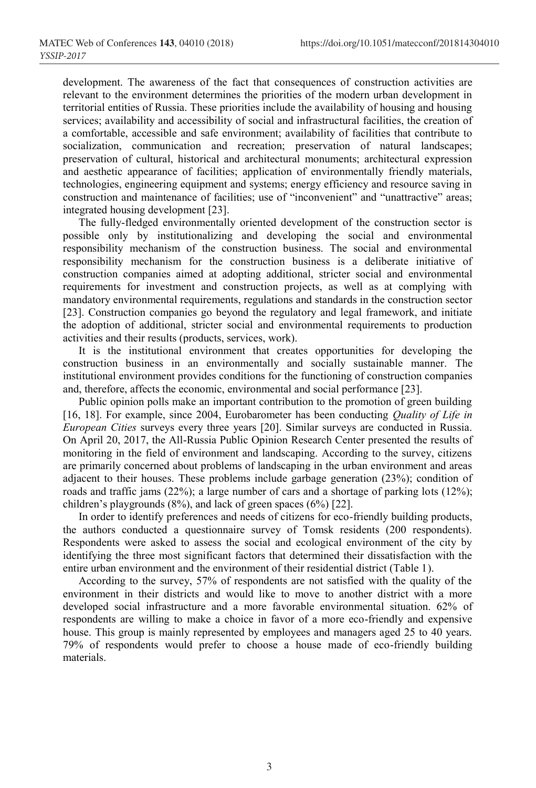development. The awareness of the fact that consequences of construction activities are relevant to the environment determines the priorities of the modern urban development in territorial entities of Russia. These priorities include the availability of housing and housing services; availability and accessibility of social and infrastructural facilities, the creation of a comfortable, accessible and safe environment; availability of facilities that contribute to socialization, communication and recreation; preservation of natural landscapes; preservation of cultural, historical and architectural monuments; architectural expression and aesthetic appearance of facilities; application of environmentally friendly materials, technologies, engineering equipment and systems; energy efficiency and resource saving in construction and maintenance of facilities; use of "inconvenient" and "unattractive" areas; integrated housing development [23].

The fully-fledged environmentally oriented development of the construction sector is possible only by institutionalizing and developing the social and environmental responsibility mechanism of the construction business. The social and environmental responsibility mechanism for the construction business is a deliberate initiative of construction companies aimed at adopting additional, stricter social and environmental requirements for investment and construction projects, as well as at complying with mandatory environmental requirements, regulations and standards in the construction sector [23]. Construction companies go beyond the regulatory and legal framework, and initiate the adoption of additional, stricter social and environmental requirements to production activities and their results (products, services, work).

It is the institutional environment that creates opportunities for developing the construction business in an environmentally and socially sustainable manner. The institutional environment provides conditions for the functioning of construction companies and, therefore, affects the economic, environmental and social performance [23].

Public opinion polls make an important contribution to the promotion of green building [16, 18]. For example, since 2004, Eurobarometer has been conducting *Quality of Life in European Cities* surveys every three years [20]. Similar surveys are conducted in Russia. On April 20, 2017, the All-Russia Public Opinion Research Center presented the results of monitoring in the field of environment and landscaping. According to the survey, citizens are primarily concerned about problems of landscaping in the urban environment and areas adjacent to their houses. These problems include garbage generation (23%); condition of roads and traffic jams (22%); a large number of cars and a shortage of parking lots (12%); children's playgrounds (8%), and lack of green spaces (6%) [22].

In order to identify preferences and needs of citizens for eco-friendly building products, the authors conducted a questionnaire survey of Tomsk residents (200 respondents). Respondents were asked to assess the social and ecological environment of the city by identifying the three most significant factors that determined their dissatisfaction with the entire urban environment and the environment of their residential district (Table 1).

According to the survey, 57% of respondents are not satisfied with the quality of the environment in their districts and would like to move to another district with a more developed social infrastructure and a more favorable environmental situation. 62% of respondents are willing to make a choice in favor of a more eco-friendly and expensive house. This group is mainly represented by employees and managers aged 25 to 40 years. 79% of respondents would prefer to choose a house made of eco-friendly building materials.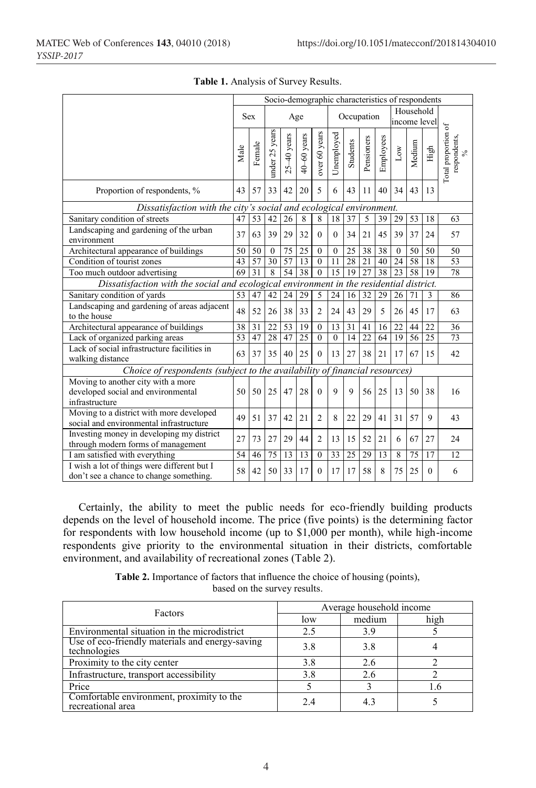|                                                                                            | Socio-demographic characteristics of respondents |            |                |                 |              |                |              |                 |            |           |                 |        |            |                                                           |
|--------------------------------------------------------------------------------------------|--------------------------------------------------|------------|----------------|-----------------|--------------|----------------|--------------|-----------------|------------|-----------|-----------------|--------|------------|-----------------------------------------------------------|
|                                                                                            |                                                  | <b>Sex</b> | Age            |                 |              |                | Occupation   |                 |            |           | Household       |        |            |                                                           |
|                                                                                            |                                                  |            |                |                 | income level |                |              |                 |            |           |                 |        |            |                                                           |
|                                                                                            | Male                                             | Female     | under 25 years | $25-40$ years   | 40-60 years  | over 60 years  | Unemployed   | Students        | Pensioners | Employees | Low             | Medium | $\rm High$ | Total proportion of<br>respondents, $\substack{96 \\ 96}$ |
| Proportion of respondents, %                                                               | 43                                               | 57         | 33             | 42              | 20           | 5              | 6            | 43              | 11         | 40        | 34              | 43     | 13         |                                                           |
| Dissatisfaction with the city's social and ecological environment.                         |                                                  |            |                |                 |              |                |              |                 |            |           |                 |        |            |                                                           |
| Sanitary condition of streets                                                              | 47                                               | 53         | 42             | 26              | 8            | 8              | 18           | 37              | 5          | 39        | 29              | 53     | 18         | 63                                                        |
| Landscaping and gardening of the urban<br>environment                                      | 37                                               | 63         | 39             | 29              | 32           | $\theta$       | $\mathbf{0}$ | 34              | 21         | 45        | 39              | 37     | 24         | 57                                                        |
| Architectural appearance of buildings                                                      | 50                                               | 50         | $\overline{0}$ | 75              | 25           | $\mathbf{0}$   | $\mathbf{0}$ | 25              | 38         | 38        | $\mathbf{0}$    | 50     | 50         | 50                                                        |
| Condition of tourist zones                                                                 | 43                                               | 57         | 30             | 57              | 13           | $\theta$       | 11           | 28              | 21         | 40        | 24              | 58     | 18         | 53                                                        |
| Too much outdoor advertising                                                               | 69                                               | 31         | 8              | 54              | 38           | $\theta$       | 15           | 19              | 27         | 38        | 23              | 58     | 19         | 78                                                        |
| Dissatisfaction with the social and ecological environment in the residential district.    |                                                  |            |                |                 |              |                |              |                 |            |           |                 |        |            |                                                           |
| Sanitary condition of yards                                                                | 53                                               | 47         | 42             | 24              | 29           | 5              | 24           | 16              | 32         | 29        | 26              | 71     | 3          | 86                                                        |
| Landscaping and gardening of areas adjacent<br>to the house                                | 48                                               | 52         | 26             | 38              | 33           | $\overline{2}$ | 24           | 43              | 29         | 5         | 26              | 45     | 17         | 63                                                        |
| Architectural appearance of buildings                                                      | 38                                               | 31         | 22             | $\overline{53}$ | 19           | $\mathbf{0}$   | 13           | $\overline{31}$ | 41         | 16        | $\overline{22}$ | 44     | 22         | $\overline{36}$                                           |
| Lack of organized parking areas                                                            | 53                                               | 47         | 28             | 47              | 25           | $\theta$       | $\mathbf{0}$ | 14              | 22         | 64        | 19              | 56     | 25         | 73                                                        |
| Lack of social infrastructure facilities in<br>walking distance                            | 63                                               | 37         | 35             | 40              | 25           | $\theta$       | 13           | 27              | 38         | 21        | 17              | 67     | 15         | 42                                                        |
| Choice of respondents (subject to the availability of financial resources)                 |                                                  |            |                |                 |              |                |              |                 |            |           |                 |        |            |                                                           |
| Moving to another city with a more<br>developed social and environmental<br>infrastructure | 50                                               | 50         | 25             | 47              | 28           | $\theta$       | 9            | 9               | 56         | 25        | 13              | 50     | 38         | 16                                                        |
| Moving to a district with more developed<br>social and environmental infrastructure        | 49                                               | 51         | 37             | 42              | 21           | 2              | 8            | 22              | 29         | 41        | 31              | 57     | 9          | 43                                                        |
| Investing money in developing my district<br>through modern forms of management            | 27                                               | 73         | 27             | 29              | 44           | $\overline{2}$ | 13           | 15              | 52         | 21        | 6               | 67     | 27         | 24                                                        |
| I am satisfied with everything                                                             | 54                                               | 46         | 75             | 13              | 13           | $\theta$       | 33           | 25              | 29         | 13        | 8               | 75     | 17         | 12                                                        |
| I wish a lot of things were different but I<br>don't see a chance to change something.     | 58                                               | 42         | 50             | 33              | 17           | $\theta$       | 17           | 17              | 58         | 8         | 75              | 25     | $\theta$   | 6                                                         |

**Table 1.** Analysis of Survey Results.

Certainly, the ability to meet the public needs for eco-friendly building products depends on the level of household income. The price (five points) is the determining factor for respondents with low household income (up to \$1,000 per month), while high-income respondents give priority to the environmental situation in their districts, comfortable environment, and availability of recreational zones (Table 2).

**Table 2.** Importance of factors that influence the choice of housing (points), based on the survey results.

| Factors                                                         | Average household income |        |      |  |  |  |  |  |
|-----------------------------------------------------------------|--------------------------|--------|------|--|--|--|--|--|
|                                                                 | low                      | medium | high |  |  |  |  |  |
| Environmental situation in the microdistrict                    | 2.5                      | 3.9    |      |  |  |  |  |  |
| Use of eco-friendly materials and energy-saving<br>technologies | 3.8                      | 3.8    |      |  |  |  |  |  |
| Proximity to the city center                                    | 3.8                      | 2.6    |      |  |  |  |  |  |
| Infrastructure, transport accessibility                         | 3.8                      | 2.6    |      |  |  |  |  |  |
| Price                                                           |                          |        | 1.6  |  |  |  |  |  |
| Comfortable environment, proximity to the<br>recreational area  | 2.4                      | 4.3    |      |  |  |  |  |  |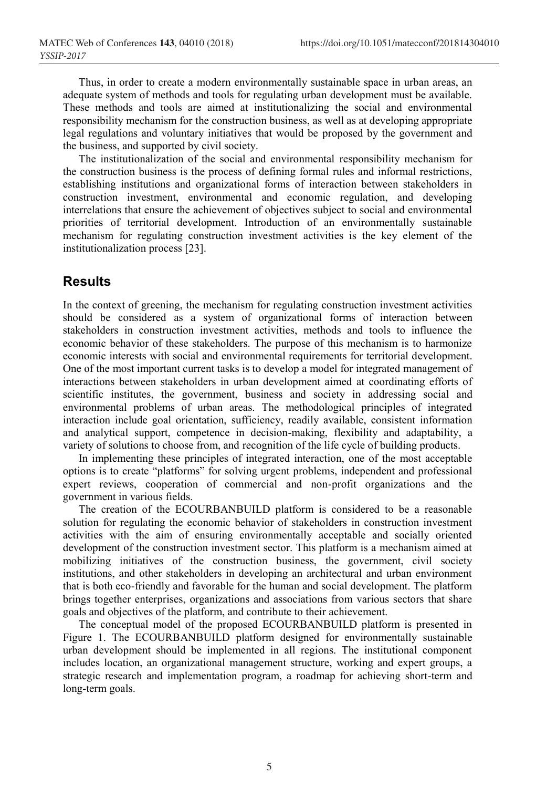Thus, in order to create a modern environmentally sustainable space in urban areas, an adequate system of methods and tools for regulating urban development must be available. These methods and tools are aimed at institutionalizing the social and environmental responsibility mechanism for the construction business, as well as at developing appropriate legal regulations and voluntary initiatives that would be proposed by the government and the business, and supported by civil society.

The institutionalization of the social and environmental responsibility mechanism for the construction business is the process of defining formal rules and informal restrictions, establishing institutions and organizational forms of interaction between stakeholders in construction investment, environmental and economic regulation, and developing interrelations that ensure the achievement of objectives subject to social and environmental priorities of territorial development. Introduction of an environmentally sustainable mechanism for regulating construction investment activities is the key element of the institutionalization process [23].

# **Results**

In the context of greening, the mechanism for regulating construction investment activities should be considered as a system of organizational forms of interaction between stakeholders in construction investment activities, methods and tools to influence the economic behavior of these stakeholders. The purpose of this mechanism is to harmonize economic interests with social and environmental requirements for territorial development. One of the most important current tasks is to develop a model for integrated management of interactions between stakeholders in urban development aimed at coordinating efforts of scientific institutes, the government, business and society in addressing social and environmental problems of urban areas. The methodological principles of integrated interaction include goal orientation, sufficiency, readily available, consistent information and analytical support, competence in decision-making, flexibility and adaptability, a variety of solutions to choose from, and recognition of the life cycle of building products.

In implementing these principles of integrated interaction, one of the most acceptable options is to create "platforms" for solving urgent problems, independent and professional expert reviews, cooperation of commercial and non-profit organizations and the government in various fields.

The creation of the ECOURBANBUILD platform is considered to be a reasonable solution for regulating the economic behavior of stakeholders in construction investment activities with the aim of ensuring environmentally acceptable and socially oriented development of the construction investment sector. This platform is a mechanism aimed at mobilizing initiatives of the construction business, the government, civil society institutions, and other stakeholders in developing an architectural and urban environment that is both eco-friendly and favorable for the human and social development. The platform brings together enterprises, organizations and associations from various sectors that share goals and objectives of the platform, and contribute to their achievement.

The conceptual model of the proposed ECOURBANBUILD platform is presented in Figure 1. The ECOURBANBUILD platform designed for environmentally sustainable urban development should be implemented in all regions. The institutional component includes location, an organizational management structure, working and expert groups, a strategic research and implementation program, a roadmap for achieving short-term and long-term goals.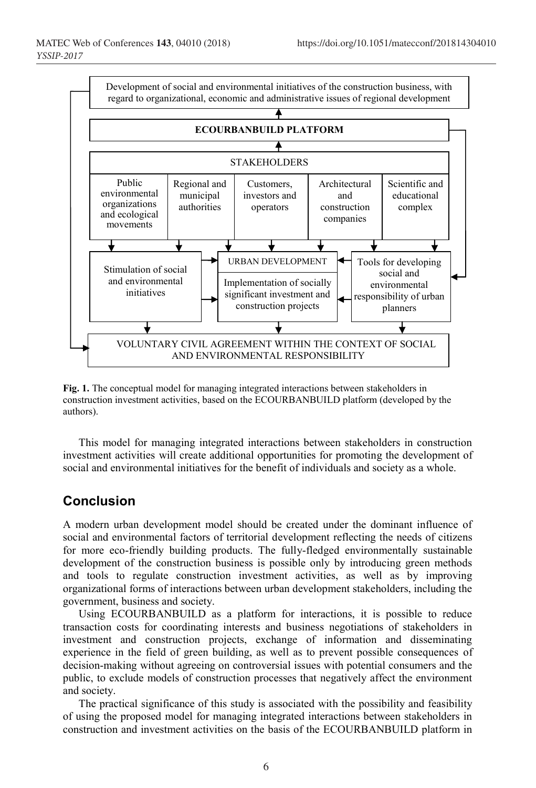



**Fig. 1.** The conceptual model for managing integrated interactions between stakeholders in construction investment activities, based on the ECOURBANBUILD platform (developed by the authors).

This model for managing integrated interactions between stakeholders in construction investment activities will create additional opportunities for promoting the development of social and environmental initiatives for the benefit of individuals and society as a whole.

## **Conclusion**

A modern urban development model should be created under the dominant influence of social and environmental factors of territorial development reflecting the needs of citizens for more eco-friendly building products. The fully-fledged environmentally sustainable development of the construction business is possible only by introducing green methods and tools to regulate construction investment activities, as well as by improving organizational forms of interactions between urban development stakeholders, including the government, business and society.

Using ECOURBANBUILD as a platform for interactions, it is possible to reduce transaction costs for coordinating interests and business negotiations of stakeholders in investment and construction projects, exchange of information and disseminating experience in the field of green building, as well as to prevent possible consequences of decision-making without agreeing on controversial issues with potential consumers and the public, to exclude models of construction processes that negatively affect the environment and society.

The practical significance of this study is associated with the possibility and feasibility of using the proposed model for managing integrated interactions between stakeholders in construction and investment activities on the basis of the ECOURBANBUILD platform in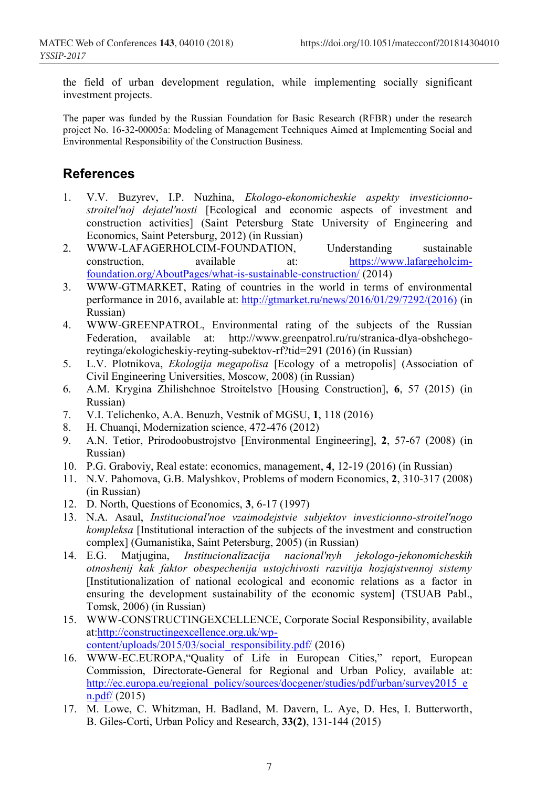the field of urban development regulation, while implementing socially significant investment projects.

The paper was funded by the Russian Foundation for Basic Research (RFBR) under the research project No. 16-32-00005а: Modeling of Management Techniques Aimed at Implementing Social and Environmental Responsibility of the Construction Business.

## **References**

- 1. V.V. Buzyrev, I.P. Nuzhina, *Ekologo-ekonomicheskie aspekty investicionnostroitel'noj dejatel'nosti* [Ecological and economic aspects of investment and construction activities] (Saint Petersburg State University of Engineering and Economics, Saint Petersburg, 2012) (in Russian)
- 2. WWW-LAFAGERHOLCIM-FOUNDATION, Understanding sustainable construction, available at: https://www.lafargeholcimfoundation.org/AboutPages/what-is-sustainable-construction/ (2014)
- 3. WWW-GTMARKET, Rating of countries in the world in terms of environmental performance in 2016, available at: http://gtmarket.ru/news/2016/01/29/7292/(2016) (in Russian)
- 4. WWW-GREENPATROL, Environmental rating of the subjects of the Russian Federation, available at: http://www.greenpatrol.ru/ru/stranica-dlya-obshchegoreytinga/ekologicheskiy-reyting-subektov-rf?tid=291 (2016) (in Russian)
- 5. L.V. Plotnikova, *Ekologija megapolisa* [Ecology of a metropolis] (Association of Civil Engineering Universities, Moscow, 2008) (in Russian)
- 6. A.M. Krygina Zhilishchnoe Stroitelstvo [Housing Construction], **6**, 57 (2015) (in Russian)
- 7. V.I. Telichenko, A.A. Benuzh, Vestnik of MGSU, **1**, 118 (2016)
- 8. H. Chuanqi, Modernization science, 472-476 (2012)
- 9. A.N. Tetior, Prirodoobustrojstvo [Environmental Engineering], **2**, 57-67 (2008) (in Russian)
- 10. P.G. Graboviy, Real estate: economics, management, **4**, 12-19 (2016) (in Russian)
- 11. N.V. Pahomova, G.B. Malyshkov, Problems of modern Economics, **2**, 310-317 (2008) (in Russian)
- 12. D. North, Questions of Economics, **3**, 6-17 (1997)
- 13. N.A. Asaul, *Institucional'noe vzaimodejstvie subjektov investicionno-stroitel'nogo kompleksa* [Institutional interaction of the subjects of the investment and construction complex] (Gumanistika, Saint Petersburg, 2005) (in Russian)
- 14. E.G. Matjugina, *Institucionalizacija nacional'nyh jekologo-jekonomicheskih otnoshenij kak faktor obespechenija ustojchivosti razvitija hozjajstvennoj sistemy* [Institutionalization of national ecological and economic relations as a factor in ensuring the development sustainability of the economic system] (TSUAB Pabl., Tomsk, 2006) (in Russian)
- 15. WWW-CONSTRUCTINGEXCELLENCE, Corporate Social Responsibility, available at:http://constructingexcellence.org.uk/wpcontent/uploads/2015/03/social\_responsibility.pdf/ (2016)
- 16. WWW-EC.EUROPA,"Quality of Life in European Cities," report, European Commission, Directorate-General for Regional and Urban Policy*,* available at: http://ec.europa.eu/regional\_policy/sources/docgener/studies/pdf/urban/survey2015\_e  $n.pdf/ (2015)$
- 17. M. Lowe, C. Whitzman, H. Badland, M. Davern, L. Aye, D. Hes, I. Butterworth, B. Giles-Corti, Urban Policy and Research, **33(2)**, 131-144 (2015)